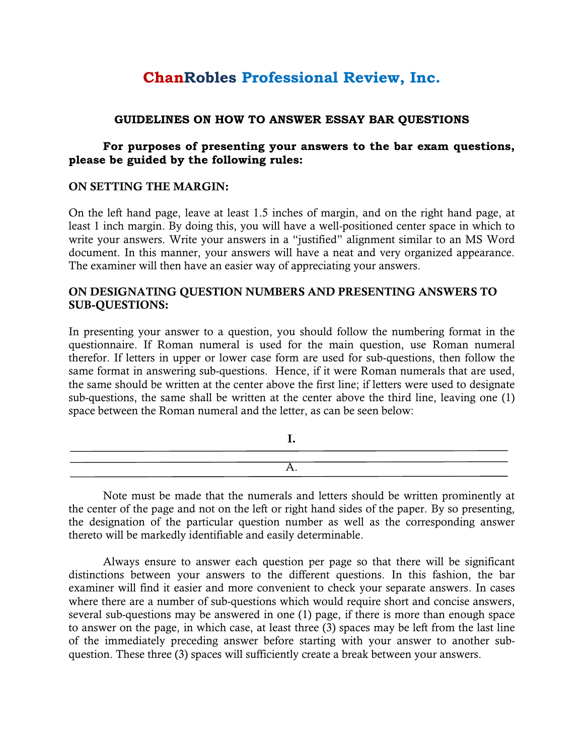# **ChanRobles Professional Review, Inc.**

#### **GUIDELINES ON HOW TO ANSWER ESSAY BAR QUESTIONS**

#### **For purposes of presenting your answers to the bar exam questions, please be guided by the following rules:**

#### **ON SETTING THE MARGIN:**

On the left hand page, leave at least 1.5 inches of margin, and on the right hand page, at least 1 inch margin. By doing this, you will have a well-positioned center space in which to write your answers. Write your answers in a "justified" alignment similar to an MS Word document. In this manner, your answers will have a neat and very organized appearance. The examiner will then have an easier way of appreciating your answers.

#### **ON DESIGNATING QUESTION NUMBERS AND PRESENTING ANSWERS TO SUB-QUESTIONS:**

In presenting your answer to a question, you should follow the numbering format in the questionnaire. If Roman numeral is used for the main question, use Roman numeral therefor. If letters in upper or lower case form are used for sub-questions, then follow the same format in answering sub-questions. Hence, if it were Roman numerals that are used, the same should be written at the center above the first line; if letters were used to designate sub-questions, the same shall be written at the center above the third line, leaving one (1) space between the Roman numeral and the letter, as can be seen below:

Note must be made that the numerals and letters should be written prominently at the center of the page and not on the left or right hand sides of the paper. By so presenting, the designation of the particular question number as well as the corresponding answer thereto will be markedly identifiable and easily determinable.

Always ensure to answer each question per page so that there will be significant distinctions between your answers to the different questions. In this fashion, the bar examiner will find it easier and more convenient to check your separate answers. In cases where there are a number of sub-questions which would require short and concise answers, several sub-questions may be answered in one (1) page, if there is more than enough space to answer on the page, in which case, at least three (3) spaces may be left from the last line of the immediately preceding answer before starting with your answer to another subquestion. These three (3) spaces will sufficiently create a break between your answers.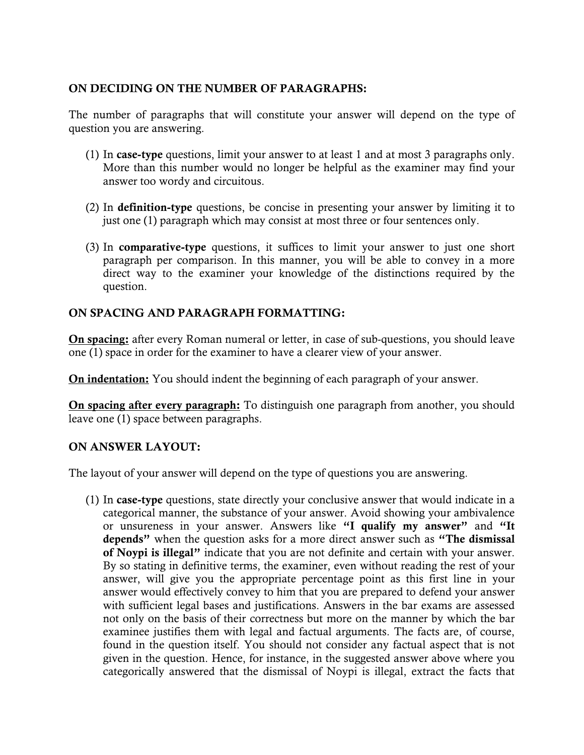# **ON DECIDING ON THE NUMBER OF PARAGRAPHS:**

The number of paragraphs that will constitute your answer will depend on the type of question you are answering.

- (1) In **case-type** questions, limit your answer to at least 1 and at most 3 paragraphs only. More than this number would no longer be helpful as the examiner may find your answer too wordy and circuitous.
- (2) In **definition-type** questions, be concise in presenting your answer by limiting it to just one (1) paragraph which may consist at most three or four sentences only.
- (3) In **comparative-type** questions, it suffices to limit your answer to just one short paragraph per comparison. In this manner, you will be able to convey in a more direct way to the examiner your knowledge of the distinctions required by the question.

# **ON SPACING AND PARAGRAPH FORMATTING:**

**On spacing:** after every Roman numeral or letter, in case of sub-questions, you should leave one (1) space in order for the examiner to have a clearer view of your answer.

**On indentation:** You should indent the beginning of each paragraph of your answer.

**On spacing after every paragraph:** To distinguish one paragraph from another, you should leave one (1) space between paragraphs.

# **ON ANSWER LAYOUT:**

The layout of your answer will depend on the type of questions you are answering.

(1) In **case-type** questions, state directly your conclusive answer that would indicate in a categorical manner, the substance of your answer. Avoid showing your ambivalence or unsureness in your answer. Answers like **"I qualify my answer"** and **"It depends"** when the question asks for a more direct answer such as **"The dismissal of Noypi is illegal"** indicate that you are not definite and certain with your answer. By so stating in definitive terms, the examiner, even without reading the rest of your answer, will give you the appropriate percentage point as this first line in your answer would effectively convey to him that you are prepared to defend your answer with sufficient legal bases and justifications. Answers in the bar exams are assessed not only on the basis of their correctness but more on the manner by which the bar examinee justifies them with legal and factual arguments. The facts are, of course, found in the question itself. You should not consider any factual aspect that is not given in the question. Hence, for instance, in the suggested answer above where you categorically answered that the dismissal of Noypi is illegal, extract the facts that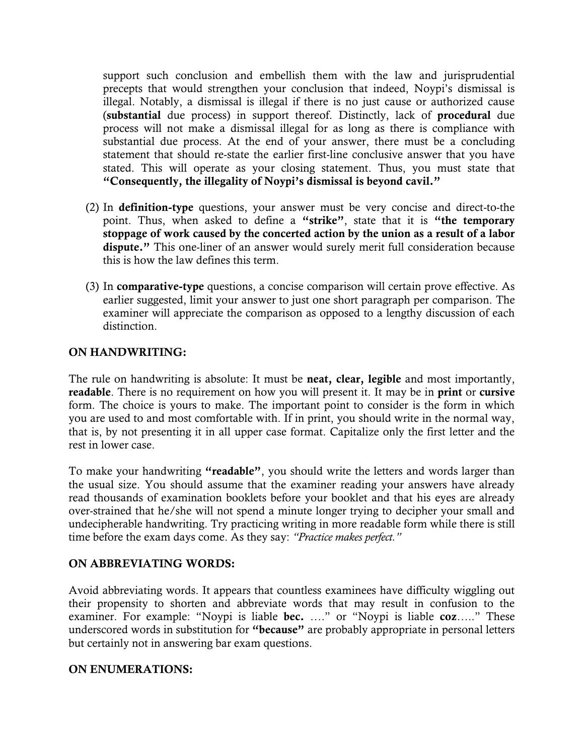support such conclusion and embellish them with the law and jurisprudential precepts that would strengthen your conclusion that indeed, Noypi's dismissal is illegal. Notably, a dismissal is illegal if there is no just cause or authorized cause (**substantial** due process) in support thereof. Distinctly, lack of **procedural** due process will not make a dismissal illegal for as long as there is compliance with substantial due process. At the end of your answer, there must be a concluding statement that should re-state the earlier first-line conclusive answer that you have stated. This will operate as your closing statement. Thus, you must state that **"Consequently, the illegality of Noypi's dismissal is beyond cavil."**

- (2) In **definition-type** questions, your answer must be very concise and direct-to-the point. Thus, when asked to define a **"strike"**, state that it is **"the temporary stoppage of work caused by the concerted action by the union as a result of a labor dispute."** This one-liner of an answer would surely merit full consideration because this is how the law defines this term.
- (3) In **comparative-type** questions, a concise comparison will certain prove effective. As earlier suggested, limit your answer to just one short paragraph per comparison. The examiner will appreciate the comparison as opposed to a lengthy discussion of each distinction.

# **ON HANDWRITING:**

The rule on handwriting is absolute: It must be **neat, clear, legible** and most importantly, **readable**. There is no requirement on how you will present it. It may be in **print** or **cursive** form. The choice is yours to make. The important point to consider is the form in which you are used to and most comfortable with. If in print, you should write in the normal way, that is, by not presenting it in all upper case format. Capitalize only the first letter and the rest in lower case.

To make your handwriting **"readable"**, you should write the letters and words larger than the usual size. You should assume that the examiner reading your answers have already read thousands of examination booklets before your booklet and that his eyes are already over-strained that he/she will not spend a minute longer trying to decipher your small and undecipherable handwriting. Try practicing writing in more readable form while there is still time before the exam days come. As they say: *"Practice makes perfect."*

# **ON ABBREVIATING WORDS:**

Avoid abbreviating words. It appears that countless examinees have difficulty wiggling out their propensity to shorten and abbreviate words that may result in confusion to the examiner. For example: "Noypi is liable **bec.** …." or "Noypi is liable **coz**….." These underscored words in substitution for **"because"** are probably appropriate in personal letters but certainly not in answering bar exam questions.

#### **ON ENUMERATIONS:**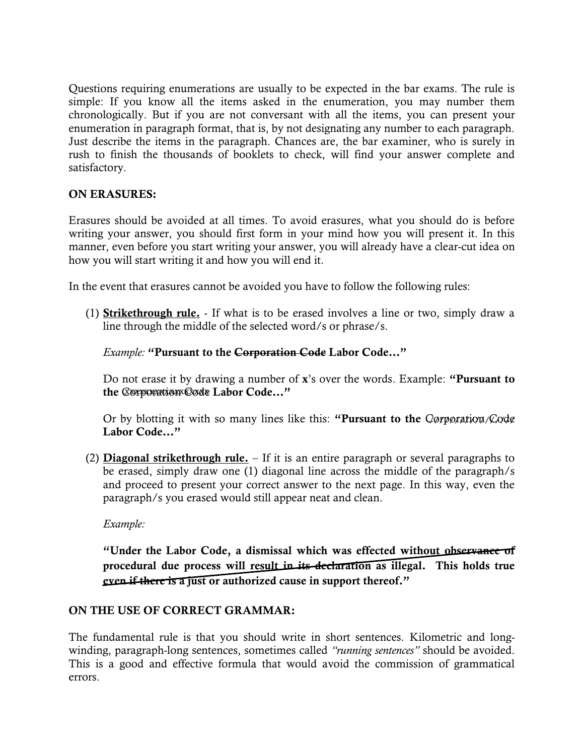Questions requiring enumerations are usually to be expected in the bar exams. The rule is simple: If you know all the items asked in the enumeration, you may number them chronologically. But if you are not conversant with all the items, you can present your enumeration in paragraph format, that is, by not designating any number to each paragraph. Just describe the items in the paragraph. Chances are, the bar examiner, who is surely in rush to finish the thousands of booklets to check, will find your answer complete and satisfactory.

# **ON ERASURES:**

Erasures should be avoided at all times. To avoid erasures, what you should do is before writing your answer, you should first form in your mind how you will present it. In this manner, even before you start writing your answer, you will already have a clear-cut idea on how you will start writing it and how you will end it.

In the event that erasures cannot be avoided you have to follow the following rules:

(1) **Strikethrough rule.** - If what is to be erased involves a line or two, simply draw a line through the middle of the selected word/s or phrase/s.

#### *Example:* **"Pursuant to the Corporation Code Labor Code…"**

Do not erase it by drawing a number of **x**'s over the words. Example: **"Pursuant to**  the **Corporation Code** Labor Code..."

Or by blotting it with so many lines like this: "Pursuant to the *Qorporation* /*Code* **Labor Code…"**

(2) **Diagonal strikethrough rule.** – If it is an entire paragraph or several paragraphs to be erased, simply draw one (1) diagonal line across the middle of the paragraph/s and proceed to present your correct answer to the next page. In this way, even the paragraph/s you erased would still appear neat and clean.

*Example:* 

**"Under the Labor Code, a dismissal which was effected without observance of procedural due process will result in its declaration as illegal. This holds true even if there is a just or authorized cause in support thereof."** 

# **ON THE USE OF CORRECT GRAMMAR:**

The fundamental rule is that you should write in short sentences. Kilometric and longwinding, paragraph-long sentences, sometimes called *"running sentences"* should be avoided. This is a good and effective formula that would avoid the commission of grammatical errors.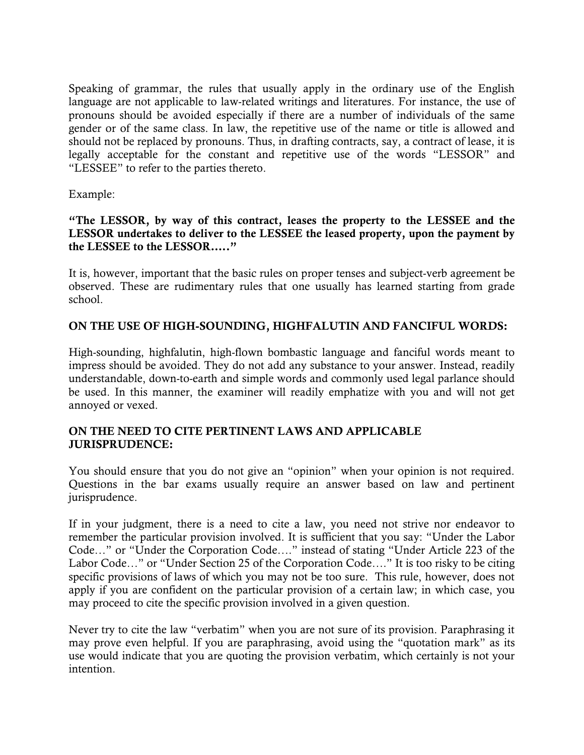Speaking of grammar, the rules that usually apply in the ordinary use of the English language are not applicable to law-related writings and literatures. For instance, the use of pronouns should be avoided especially if there are a number of individuals of the same gender or of the same class. In law, the repetitive use of the name or title is allowed and should not be replaced by pronouns. Thus, in drafting contracts, say, a contract of lease, it is legally acceptable for the constant and repetitive use of the words "LESSOR" and "LESSEE" to refer to the parties thereto.

Example:

#### **"The LESSOR, by way of this contract, leases the property to the LESSEE and the LESSOR undertakes to deliver to the LESSEE the leased property, upon the payment by the LESSEE to the LESSOR….."**

It is, however, important that the basic rules on proper tenses and subject-verb agreement be observed. These are rudimentary rules that one usually has learned starting from grade school.

# **ON THE USE OF HIGH-SOUNDING, HIGHFALUTIN AND FANCIFUL WORDS:**

High-sounding, highfalutin, high-flown bombastic language and fanciful words meant to impress should be avoided. They do not add any substance to your answer. Instead, readily understandable, down-to-earth and simple words and commonly used legal parlance should be used. In this manner, the examiner will readily emphatize with you and will not get annoyed or vexed.

#### **ON THE NEED TO CITE PERTINENT LAWS AND APPLICABLE JURISPRUDENCE:**

You should ensure that you do not give an "opinion" when your opinion is not required. Questions in the bar exams usually require an answer based on law and pertinent jurisprudence.

If in your judgment, there is a need to cite a law, you need not strive nor endeavor to remember the particular provision involved. It is sufficient that you say: "Under the Labor Code…" or "Under the Corporation Code…." instead of stating "Under Article 223 of the Labor Code…" or "Under Section 25 of the Corporation Code…." It is too risky to be citing specific provisions of laws of which you may not be too sure. This rule, however, does not apply if you are confident on the particular provision of a certain law; in which case, you may proceed to cite the specific provision involved in a given question.

Never try to cite the law "verbatim" when you are not sure of its provision. Paraphrasing it may prove even helpful. If you are paraphrasing, avoid using the "quotation mark" as its use would indicate that you are quoting the provision verbatim, which certainly is not your intention.